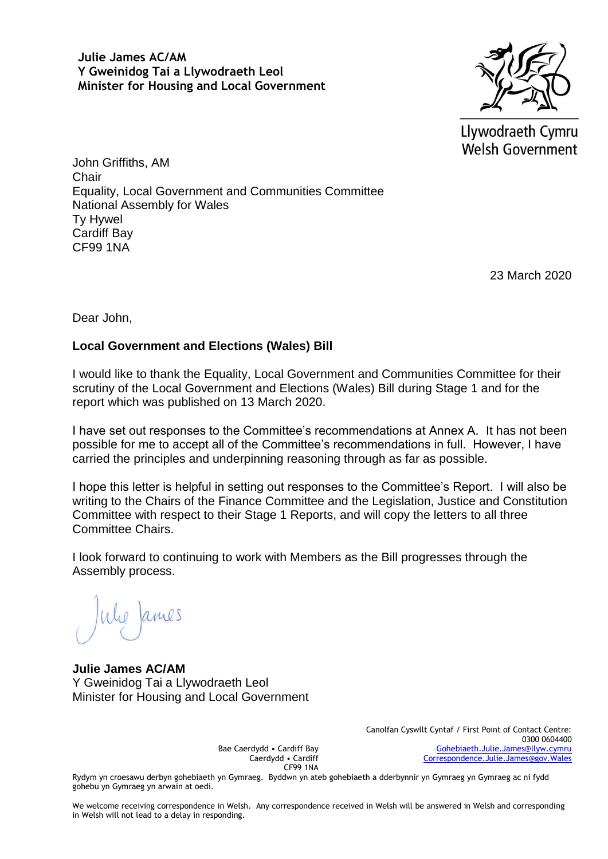**Julie James AC/AM Y Gweinidog Tai a Llywodraeth Leol Minister for Housing and Local Government**



Llywodraeth Cymru Welsh Government

John Griffiths, AM **Chair** Equality, Local Government and Communities Committee National Assembly for Wales Ty Hywel Cardiff Bay CF99 1NA

23 March 2020

Dear John,

#### **Local Government and Elections (Wales) Bill**

I would like to thank the Equality, Local Government and Communities Committee for their scrutiny of the Local Government and Elections (Wales) Bill during Stage 1 and for the report which was published on 13 March 2020.

I have set out responses to the Committee's recommendations at Annex A. It has not been possible for me to accept all of the Committee's recommendations in full. However, I have carried the principles and underpinning reasoning through as far as possible.

I hope this letter is helpful in setting out responses to the Committee's Report. I will also be writing to the Chairs of the Finance Committee and the Legislation, Justice and Constitution Committee with respect to their Stage 1 Reports, and will copy the letters to all three Committee Chairs.

I look forward to continuing to work with Members as the Bill progresses through the Assembly process.

he James

**Julie James AC/AM** Y Gweinidog Tai a Llywodraeth Leol Minister for Housing and Local Government

> Bae Caerdydd • Cardiff Bay Caerdydd • Cardiff CF99 1NA

Canolfan Cyswllt Cyntaf / First Point of Contact Centre: 0300 0604400 [Gohebiaeth.Julie.James@llyw.cymru](mailto:Gohebiaeth.Julie.James@llyw.cymru) [Correspondence.Julie.James@gov.Wales](mailto:Correspondence.Julie.James@gov.Wales)

Rydym yn croesawu derbyn gohebiaeth yn Gymraeg. Byddwn yn ateb gohebiaeth a dderbynnir yn Gymraeg yn Gymraeg ac ni fydd gohebu yn Gymraeg yn arwain at oedi.

We welcome receiving correspondence in Welsh. Any correspondence received in Welsh will be answered in Welsh and corresponding in Welsh will not lead to a delay in responding.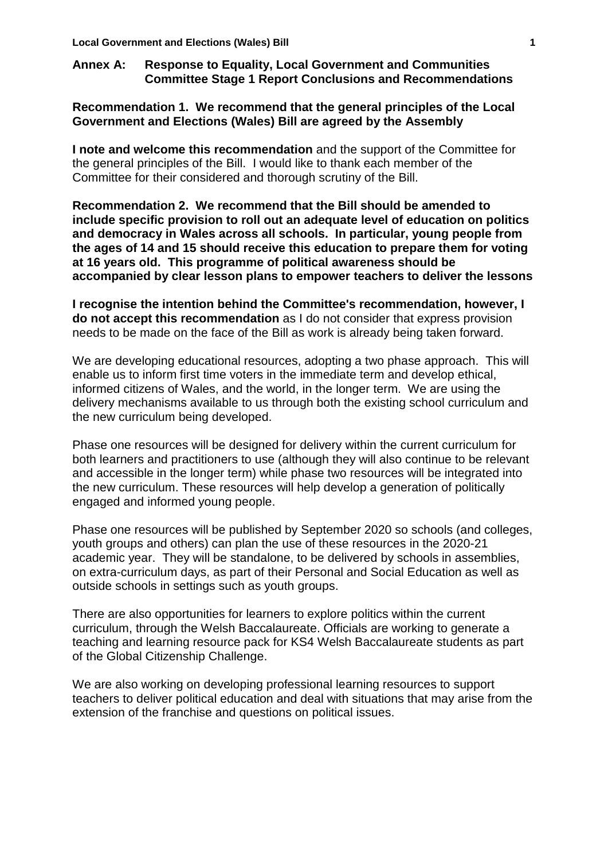# **Annex A: Response to Equality, Local Government and Communities Committee Stage 1 Report Conclusions and Recommendations**

# **Recommendation 1. We recommend that the general principles of the Local Government and Elections (Wales) Bill are agreed by the Assembly**

**I note and welcome this recommendation** and the support of the Committee for the general principles of the Bill. I would like to thank each member of the Committee for their considered and thorough scrutiny of the Bill.

**Recommendation 2. We recommend that the Bill should be amended to include specific provision to roll out an adequate level of education on politics and democracy in Wales across all schools. In particular, young people from the ages of 14 and 15 should receive this education to prepare them for voting at 16 years old. This programme of political awareness should be accompanied by clear lesson plans to empower teachers to deliver the lessons**

**I recognise the intention behind the Committee's recommendation, however, I do not accept this recommendation** as I do not consider that express provision needs to be made on the face of the Bill as work is already being taken forward.

We are developing educational resources, adopting a two phase approach. This will enable us to inform first time voters in the immediate term and develop ethical, informed citizens of Wales, and the world, in the longer term. We are using the delivery mechanisms available to us through both the existing school curriculum and the new curriculum being developed.

Phase one resources will be designed for delivery within the current curriculum for both learners and practitioners to use (although they will also continue to be relevant and accessible in the longer term) while phase two resources will be integrated into the new curriculum. These resources will help develop a generation of politically engaged and informed young people.

Phase one resources will be published by September 2020 so schools (and colleges, youth groups and others) can plan the use of these resources in the 2020-21 academic year. They will be standalone, to be delivered by schools in assemblies, on extra-curriculum days, as part of their Personal and Social Education as well as outside schools in settings such as youth groups.

There are also opportunities for learners to explore politics within the current curriculum, through the Welsh Baccalaureate. Officials are working to generate a teaching and learning resource pack for KS4 Welsh Baccalaureate students as part of the Global Citizenship Challenge.

We are also working on developing professional learning resources to support teachers to deliver political education and deal with situations that may arise from the extension of the franchise and questions on political issues.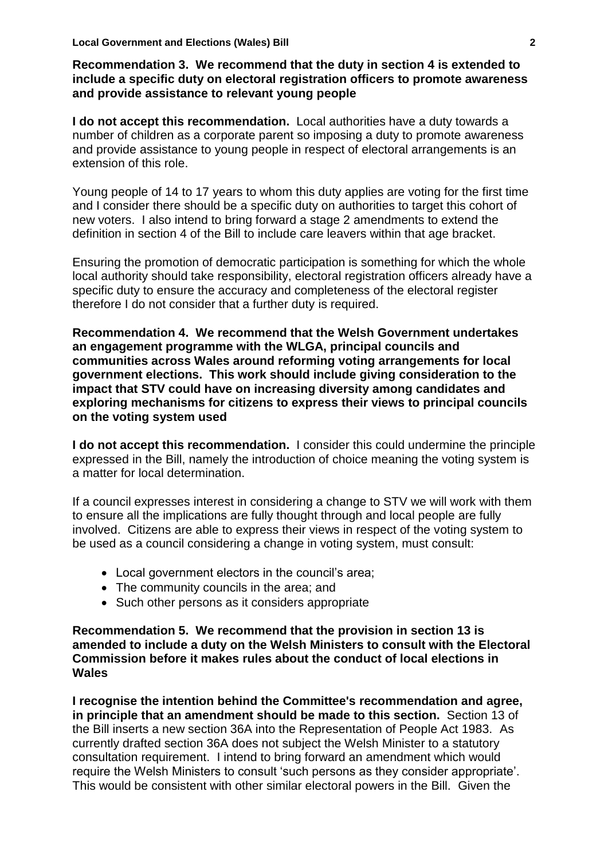## **Recommendation 3. We recommend that the duty in section 4 is extended to include a specific duty on electoral registration officers to promote awareness and provide assistance to relevant young people**

**I do not accept this recommendation.** Local authorities have a duty towards a number of children as a corporate parent so imposing a duty to promote awareness and provide assistance to young people in respect of electoral arrangements is an extension of this role.

Young people of 14 to 17 years to whom this duty applies are voting for the first time and I consider there should be a specific duty on authorities to target this cohort of new voters. I also intend to bring forward a stage 2 amendments to extend the definition in section 4 of the Bill to include care leavers within that age bracket.

Ensuring the promotion of democratic participation is something for which the whole local authority should take responsibility, electoral registration officers already have a specific duty to ensure the accuracy and completeness of the electoral register therefore I do not consider that a further duty is required.

**Recommendation 4. We recommend that the Welsh Government undertakes an engagement programme with the WLGA, principal councils and communities across Wales around reforming voting arrangements for local government elections. This work should include giving consideration to the impact that STV could have on increasing diversity among candidates and exploring mechanisms for citizens to express their views to principal councils on the voting system used**

**I do not accept this recommendation.** I consider this could undermine the principle expressed in the Bill, namely the introduction of choice meaning the voting system is a matter for local determination.

If a council expresses interest in considering a change to STV we will work with them to ensure all the implications are fully thought through and local people are fully involved. Citizens are able to express their views in respect of the voting system to be used as a council considering a change in voting system, must consult:

- Local government electors in the council's area;
- The community councils in the area; and
- Such other persons as it considers appropriate

**Recommendation 5. We recommend that the provision in section 13 is amended to include a duty on the Welsh Ministers to consult with the Electoral Commission before it makes rules about the conduct of local elections in Wales**

**I recognise the intention behind the Committee's recommendation and agree, in principle that an amendment should be made to this section.** Section 13 of the Bill inserts a new section 36A into the Representation of People Act 1983. As currently drafted section 36A does not subject the Welsh Minister to a statutory consultation requirement. I intend to bring forward an amendment which would require the Welsh Ministers to consult 'such persons as they consider appropriate'. This would be consistent with other similar electoral powers in the Bill. Given the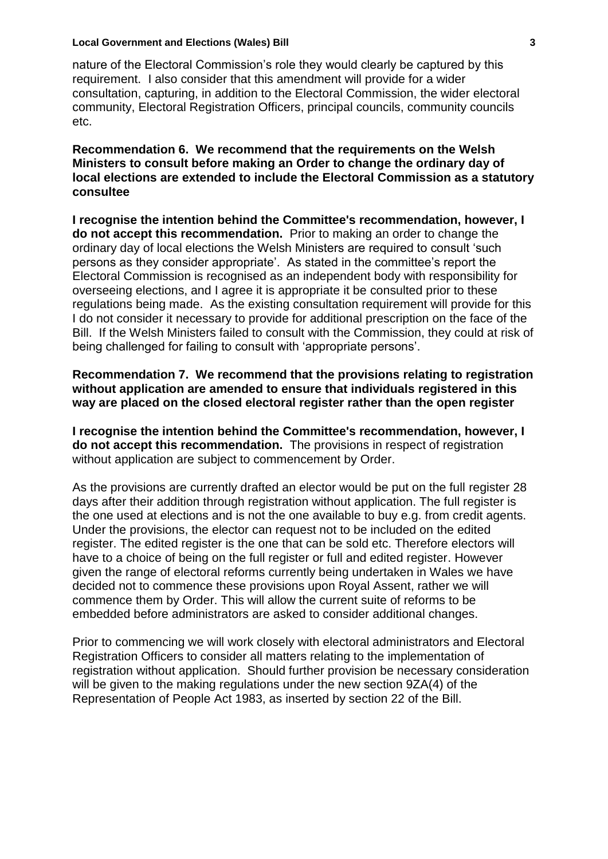#### **Local Government and Elections (Wales) Bill 3**

nature of the Electoral Commission's role they would clearly be captured by this requirement. I also consider that this amendment will provide for a wider consultation, capturing, in addition to the Electoral Commission, the wider electoral community, Electoral Registration Officers, principal councils, community councils etc.

#### **Recommendation 6. We recommend that the requirements on the Welsh Ministers to consult before making an Order to change the ordinary day of local elections are extended to include the Electoral Commission as a statutory consultee**

**I recognise the intention behind the Committee's recommendation, however, I do not accept this recommendation.** Prior to making an order to change the ordinary day of local elections the Welsh Ministers are required to consult 'such persons as they consider appropriate'. As stated in the committee's report the Electoral Commission is recognised as an independent body with responsibility for overseeing elections, and I agree it is appropriate it be consulted prior to these regulations being made. As the existing consultation requirement will provide for this I do not consider it necessary to provide for additional prescription on the face of the Bill. If the Welsh Ministers failed to consult with the Commission, they could at risk of being challenged for failing to consult with 'appropriate persons'.

**Recommendation 7. We recommend that the provisions relating to registration without application are amended to ensure that individuals registered in this way are placed on the closed electoral register rather than the open register** 

**I recognise the intention behind the Committee's recommendation, however, I do not accept this recommendation.** The provisions in respect of registration without application are subject to commencement by Order.

As the provisions are currently drafted an elector would be put on the full register 28 days after their addition through registration without application. The full register is the one used at elections and is not the one available to buy e.g. from credit agents. Under the provisions, the elector can request not to be included on the edited register. The edited register is the one that can be sold etc. Therefore electors will have to a choice of being on the full register or full and edited register. However given the range of electoral reforms currently being undertaken in Wales we have decided not to commence these provisions upon Royal Assent, rather we will commence them by Order. This will allow the current suite of reforms to be embedded before administrators are asked to consider additional changes.

Prior to commencing we will work closely with electoral administrators and Electoral Registration Officers to consider all matters relating to the implementation of registration without application. Should further provision be necessary consideration will be given to the making regulations under the new section 9ZA(4) of the Representation of People Act 1983, as inserted by section 22 of the Bill.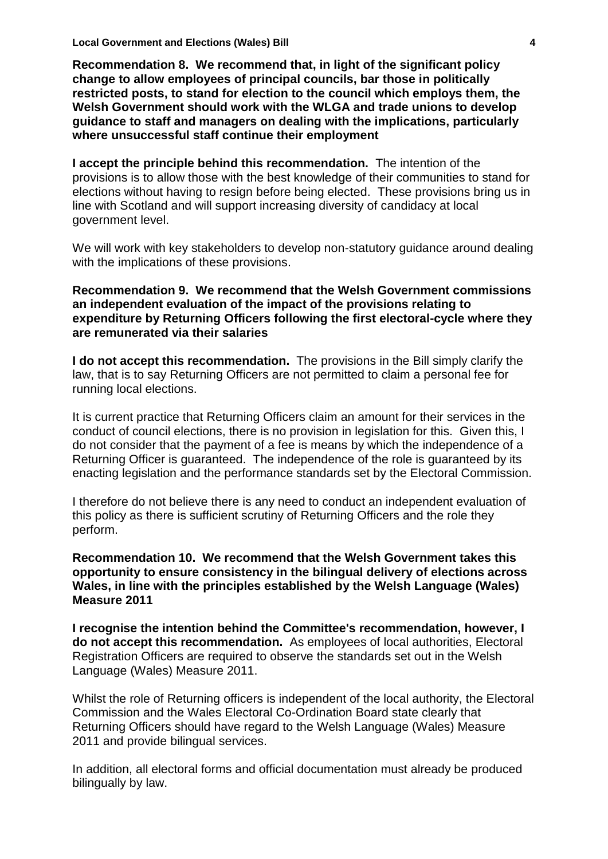**Recommendation 8. We recommend that, in light of the significant policy change to allow employees of principal councils, bar those in politically restricted posts, to stand for election to the council which employs them, the Welsh Government should work with the WLGA and trade unions to develop guidance to staff and managers on dealing with the implications, particularly where unsuccessful staff continue their employment**

**I accept the principle behind this recommendation.** The intention of the provisions is to allow those with the best knowledge of their communities to stand for elections without having to resign before being elected. These provisions bring us in line with Scotland and will support increasing diversity of candidacy at local government level.

We will work with key stakeholders to develop non-statutory guidance around dealing with the implications of these provisions.

#### **Recommendation 9. We recommend that the Welsh Government commissions an independent evaluation of the impact of the provisions relating to expenditure by Returning Officers following the first electoral-cycle where they are remunerated via their salaries**

**I do not accept this recommendation.** The provisions in the Bill simply clarify the law, that is to say Returning Officers are not permitted to claim a personal fee for running local elections.

It is current practice that Returning Officers claim an amount for their services in the conduct of council elections, there is no provision in legislation for this. Given this, I do not consider that the payment of a fee is means by which the independence of a Returning Officer is guaranteed. The independence of the role is guaranteed by its enacting legislation and the performance standards set by the Electoral Commission.

I therefore do not believe there is any need to conduct an independent evaluation of this policy as there is sufficient scrutiny of Returning Officers and the role they perform.

**Recommendation 10. We recommend that the Welsh Government takes this opportunity to ensure consistency in the bilingual delivery of elections across Wales, in line with the principles established by the Welsh Language (Wales) Measure 2011**

**I recognise the intention behind the Committee's recommendation, however, I do not accept this recommendation.** As employees of local authorities, Electoral Registration Officers are required to observe the standards set out in the Welsh Language (Wales) Measure 2011.

Whilst the role of Returning officers is independent of the local authority, the Electoral Commission and the Wales Electoral Co-Ordination Board state clearly that Returning Officers should have regard to the Welsh Language (Wales) Measure 2011 and provide bilingual services.

In addition, all electoral forms and official documentation must already be produced bilingually by law.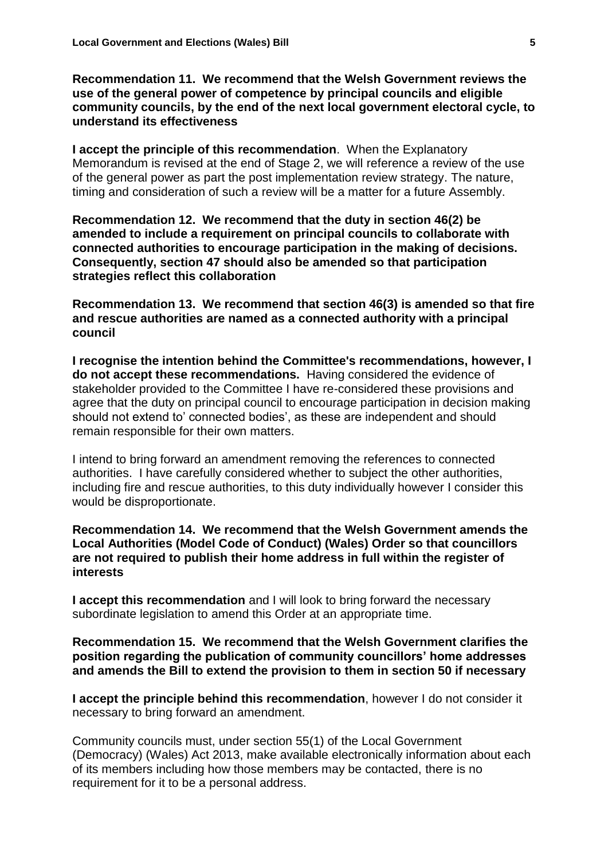**Recommendation 11. We recommend that the Welsh Government reviews the use of the general power of competence by principal councils and eligible community councils, by the end of the next local government electoral cycle, to understand its effectiveness**

**I accept the principle of this recommendation**. When the Explanatory Memorandum is revised at the end of Stage 2, we will reference a review of the use of the general power as part the post implementation review strategy. The nature, timing and consideration of such a review will be a matter for a future Assembly.

**Recommendation 12. We recommend that the duty in section 46(2) be amended to include a requirement on principal councils to collaborate with connected authorities to encourage participation in the making of decisions. Consequently, section 47 should also be amended so that participation strategies reflect this collaboration**

**Recommendation 13. We recommend that section 46(3) is amended so that fire and rescue authorities are named as a connected authority with a principal council**

**I recognise the intention behind the Committee's recommendations, however, I do not accept these recommendations.** Having considered the evidence of stakeholder provided to the Committee I have re-considered these provisions and agree that the duty on principal council to encourage participation in decision making should not extend to' connected bodies', as these are independent and should remain responsible for their own matters.

I intend to bring forward an amendment removing the references to connected authorities. I have carefully considered whether to subject the other authorities, including fire and rescue authorities, to this duty individually however I consider this would be disproportionate.

**Recommendation 14. We recommend that the Welsh Government amends the Local Authorities (Model Code of Conduct) (Wales) Order so that councillors are not required to publish their home address in full within the register of interests**

**I accept this recommendation** and I will look to bring forward the necessary subordinate legislation to amend this Order at an appropriate time.

**Recommendation 15. We recommend that the Welsh Government clarifies the position regarding the publication of community councillors' home addresses and amends the Bill to extend the provision to them in section 50 if necessary**

**I accept the principle behind this recommendation**, however I do not consider it necessary to bring forward an amendment.

Community councils must, under section 55(1) of the Local Government (Democracy) (Wales) Act 2013, make available electronically information about each of its members including how those members may be contacted, there is no requirement for it to be a personal address.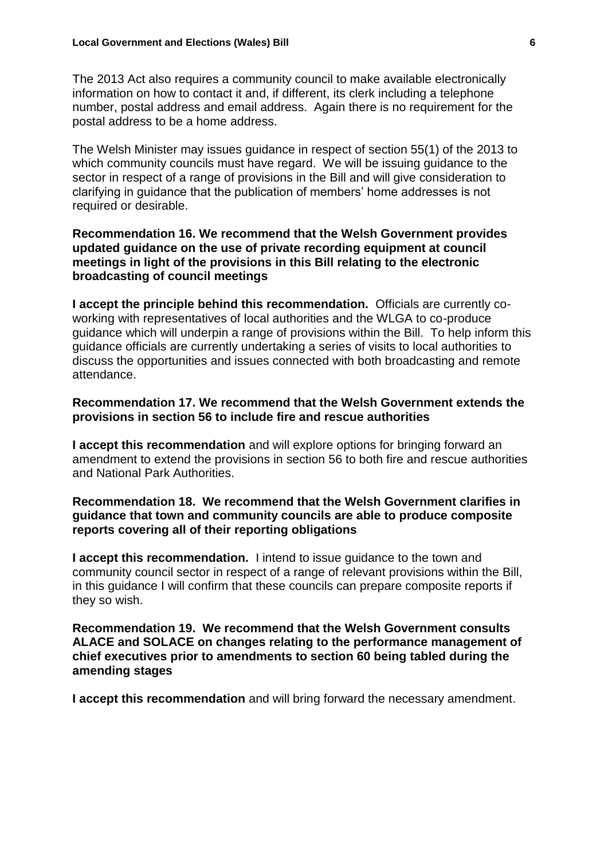The 2013 Act also requires a community council to make available electronically information on how to contact it and, if different, its clerk including a telephone number, postal address and email address. Again there is no requirement for the postal address to be a home address.

The Welsh Minister may issues guidance in respect of section 55(1) of the 2013 to which community councils must have regard. We will be issuing guidance to the sector in respect of a range of provisions in the Bill and will give consideration to clarifying in guidance that the publication of members' home addresses is not required or desirable.

### **Recommendation 16. We recommend that the Welsh Government provides updated guidance on the use of private recording equipment at council meetings in light of the provisions in this Bill relating to the electronic broadcasting of council meetings**

**I accept the principle behind this recommendation.** Officials are currently coworking with representatives of local authorities and the WLGA to co-produce guidance which will underpin a range of provisions within the Bill. To help inform this guidance officials are currently undertaking a series of visits to local authorities to discuss the opportunities and issues connected with both broadcasting and remote attendance.

## **Recommendation 17. We recommend that the Welsh Government extends the provisions in section 56 to include fire and rescue authorities**

**I accept this recommendation** and will explore options for bringing forward an amendment to extend the provisions in section 56 to both fire and rescue authorities and National Park Authorities.

## **Recommendation 18. We recommend that the Welsh Government clarifies in guidance that town and community councils are able to produce composite reports covering all of their reporting obligations**

**I accept this recommendation.** I intend to issue guidance to the town and community council sector in respect of a range of relevant provisions within the Bill, in this guidance I will confirm that these councils can prepare composite reports if they so wish.

**Recommendation 19. We recommend that the Welsh Government consults ALACE and SOLACE on changes relating to the performance management of chief executives prior to amendments to section 60 being tabled during the amending stages**

**I accept this recommendation** and will bring forward the necessary amendment.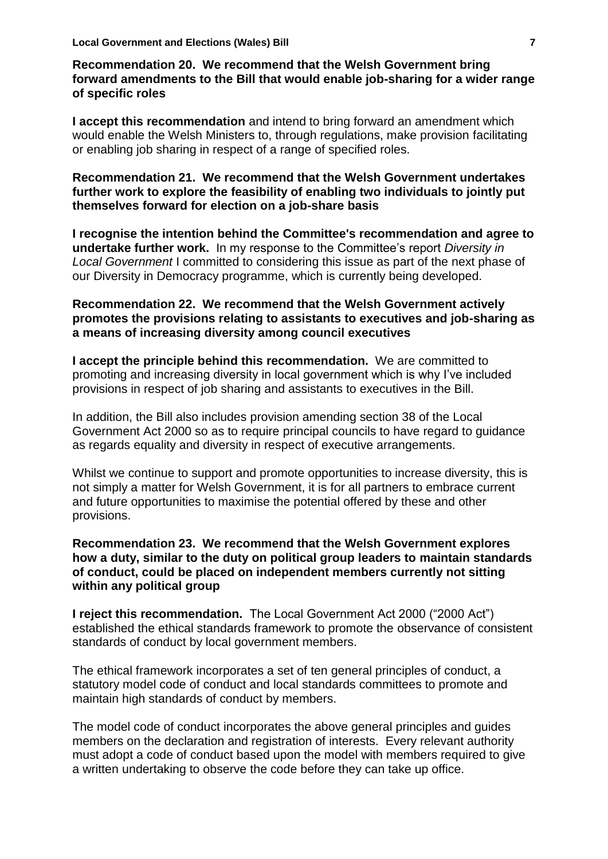**Recommendation 20. We recommend that the Welsh Government bring forward amendments to the Bill that would enable job-sharing for a wider range of specific roles**

**I accept this recommendation** and intend to bring forward an amendment which would enable the Welsh Ministers to, through regulations, make provision facilitating or enabling job sharing in respect of a range of specified roles.

#### **Recommendation 21. We recommend that the Welsh Government undertakes further work to explore the feasibility of enabling two individuals to jointly put themselves forward for election on a job-share basis**

**I recognise the intention behind the Committee's recommendation and agree to undertake further work.** In my response to the Committee's report *Diversity in Local Government* I committed to considering this issue as part of the next phase of our Diversity in Democracy programme, which is currently being developed.

#### **Recommendation 22. We recommend that the Welsh Government actively promotes the provisions relating to assistants to executives and job-sharing as a means of increasing diversity among council executives**

**I accept the principle behind this recommendation.** We are committed to promoting and increasing diversity in local government which is why I've included provisions in respect of job sharing and assistants to executives in the Bill.

In addition, the Bill also includes provision amending section 38 of the Local Government Act 2000 so as to require principal councils to have regard to guidance as regards equality and diversity in respect of executive arrangements.

Whilst we continue to support and promote opportunities to increase diversity, this is not simply a matter for Welsh Government, it is for all partners to embrace current and future opportunities to maximise the potential offered by these and other provisions.

## **Recommendation 23. We recommend that the Welsh Government explores how a duty, similar to the duty on political group leaders to maintain standards of conduct, could be placed on independent members currently not sitting within any political group**

**I reject this recommendation.** The Local Government Act 2000 ("2000 Act") established the ethical standards framework to promote the observance of consistent standards of conduct by local government members.

The ethical framework incorporates a set of ten general principles of conduct, a statutory model code of conduct and local standards committees to promote and maintain high standards of conduct by members.

The model code of conduct incorporates the above general principles and guides members on the declaration and registration of interests. Every relevant authority must adopt a code of conduct based upon the model with members required to give a written undertaking to observe the code before they can take up office.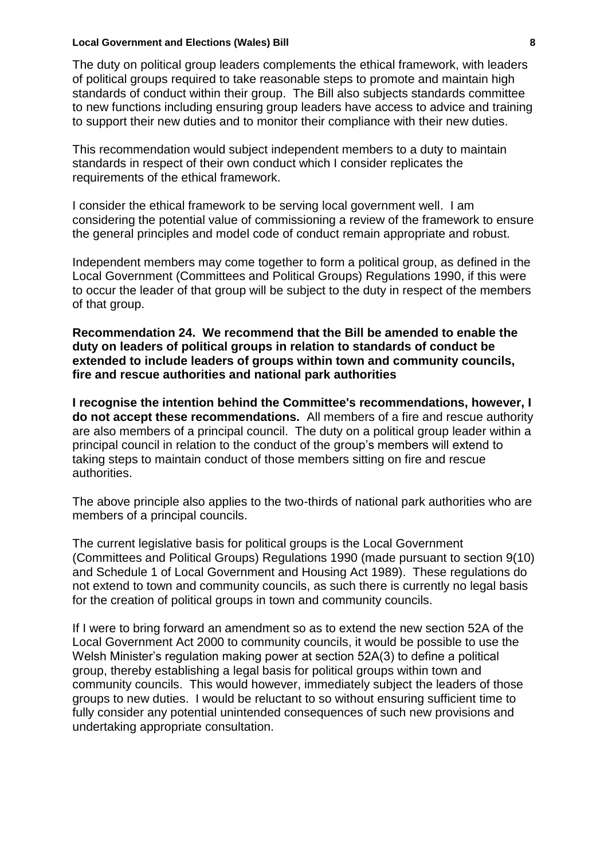#### **Local Government and Elections (Wales) Bill 8**

The duty on political group leaders complements the ethical framework, with leaders of political groups required to take reasonable steps to promote and maintain high standards of conduct within their group. The Bill also subjects standards committee to new functions including ensuring group leaders have access to advice and training to support their new duties and to monitor their compliance with their new duties.

This recommendation would subject independent members to a duty to maintain standards in respect of their own conduct which I consider replicates the requirements of the ethical framework.

I consider the ethical framework to be serving local government well. I am considering the potential value of commissioning a review of the framework to ensure the general principles and model code of conduct remain appropriate and robust.

Independent members may come together to form a political group, as defined in the Local Government (Committees and Political Groups) Regulations 1990, if this were to occur the leader of that group will be subject to the duty in respect of the members of that group.

#### **Recommendation 24. We recommend that the Bill be amended to enable the duty on leaders of political groups in relation to standards of conduct be extended to include leaders of groups within town and community councils, fire and rescue authorities and national park authorities**

**I recognise the intention behind the Committee's recommendations, however, I do not accept these recommendations.** All members of a fire and rescue authority are also members of a principal council. The duty on a political group leader within a principal council in relation to the conduct of the group's members will extend to taking steps to maintain conduct of those members sitting on fire and rescue authorities.

The above principle also applies to the two-thirds of national park authorities who are members of a principal councils.

The current legislative basis for political groups is the Local Government (Committees and Political Groups) Regulations 1990 (made pursuant to section 9(10) and Schedule 1 of Local Government and Housing Act 1989). These regulations do not extend to town and community councils, as such there is currently no legal basis for the creation of political groups in town and community councils.

If I were to bring forward an amendment so as to extend the new section 52A of the Local Government Act 2000 to community councils, it would be possible to use the Welsh Minister's regulation making power at section 52A(3) to define a political group, thereby establishing a legal basis for political groups within town and community councils. This would however, immediately subject the leaders of those groups to new duties. I would be reluctant to so without ensuring sufficient time to fully consider any potential unintended consequences of such new provisions and undertaking appropriate consultation.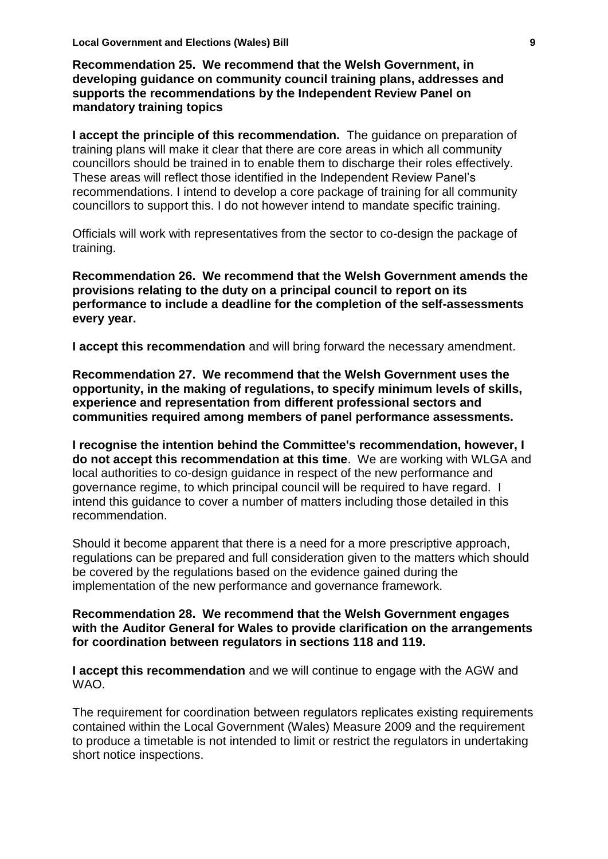**Recommendation 25. We recommend that the Welsh Government, in developing guidance on community council training plans, addresses and supports the recommendations by the Independent Review Panel on mandatory training topics**

**I accept the principle of this recommendation.** The guidance on preparation of training plans will make it clear that there are core areas in which all community councillors should be trained in to enable them to discharge their roles effectively. These areas will reflect those identified in the Independent Review Panel's recommendations. I intend to develop a core package of training for all community councillors to support this. I do not however intend to mandate specific training.

Officials will work with representatives from the sector to co-design the package of training.

**Recommendation 26. We recommend that the Welsh Government amends the provisions relating to the duty on a principal council to report on its performance to include a deadline for the completion of the self-assessments every year.**

**I accept this recommendation** and will bring forward the necessary amendment.

**Recommendation 27. We recommend that the Welsh Government uses the opportunity, in the making of regulations, to specify minimum levels of skills, experience and representation from different professional sectors and communities required among members of panel performance assessments.**

**I recognise the intention behind the Committee's recommendation, however, I do not accept this recommendation at this time**. We are working with WLGA and local authorities to co-design guidance in respect of the new performance and governance regime, to which principal council will be required to have regard. I intend this guidance to cover a number of matters including those detailed in this recommendation.

Should it become apparent that there is a need for a more prescriptive approach, regulations can be prepared and full consideration given to the matters which should be covered by the regulations based on the evidence gained during the implementation of the new performance and governance framework.

#### **Recommendation 28. We recommend that the Welsh Government engages with the Auditor General for Wales to provide clarification on the arrangements for coordination between regulators in sections 118 and 119.**

**I accept this recommendation** and we will continue to engage with the AGW and WAO.

The requirement for coordination between regulators replicates existing requirements contained within the Local Government (Wales) Measure 2009 and the requirement to produce a timetable is not intended to limit or restrict the regulators in undertaking short notice inspections.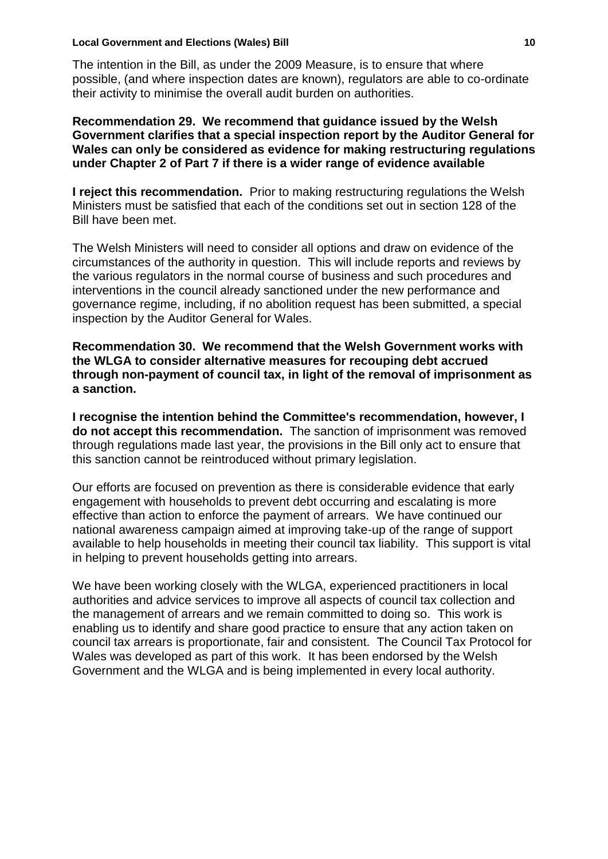#### **Local Government and Elections (Wales) Bill 10**

The intention in the Bill, as under the 2009 Measure, is to ensure that where possible, (and where inspection dates are known), regulators are able to co-ordinate their activity to minimise the overall audit burden on authorities.

**Recommendation 29. We recommend that guidance issued by the Welsh Government clarifies that a special inspection report by the Auditor General for Wales can only be considered as evidence for making restructuring regulations under Chapter 2 of Part 7 if there is a wider range of evidence available**

**I reject this recommendation.** Prior to making restructuring regulations the Welsh Ministers must be satisfied that each of the conditions set out in section 128 of the Bill have been met.

The Welsh Ministers will need to consider all options and draw on evidence of the circumstances of the authority in question. This will include reports and reviews by the various regulators in the normal course of business and such procedures and interventions in the council already sanctioned under the new performance and governance regime, including, if no abolition request has been submitted, a special inspection by the Auditor General for Wales.

**Recommendation 30. We recommend that the Welsh Government works with the WLGA to consider alternative measures for recouping debt accrued through non-payment of council tax, in light of the removal of imprisonment as a sanction.** 

**I recognise the intention behind the Committee's recommendation, however, I do not accept this recommendation.** The sanction of imprisonment was removed through regulations made last year, the provisions in the Bill only act to ensure that this sanction cannot be reintroduced without primary legislation.

Our efforts are focused on prevention as there is considerable evidence that early engagement with households to prevent debt occurring and escalating is more effective than action to enforce the payment of arrears. We have continued our national awareness campaign aimed at improving take-up of the range of support available to help households in meeting their council tax liability. This support is vital in helping to prevent households getting into arrears.

We have been working closely with the WLGA, experienced practitioners in local authorities and advice services to improve all aspects of council tax collection and the management of arrears and we remain committed to doing so. This work is enabling us to identify and share good practice to ensure that any action taken on council tax arrears is proportionate, fair and consistent. The Council Tax Protocol for Wales was developed as part of this work. It has been endorsed by the Welsh Government and the WLGA and is being implemented in every local authority.